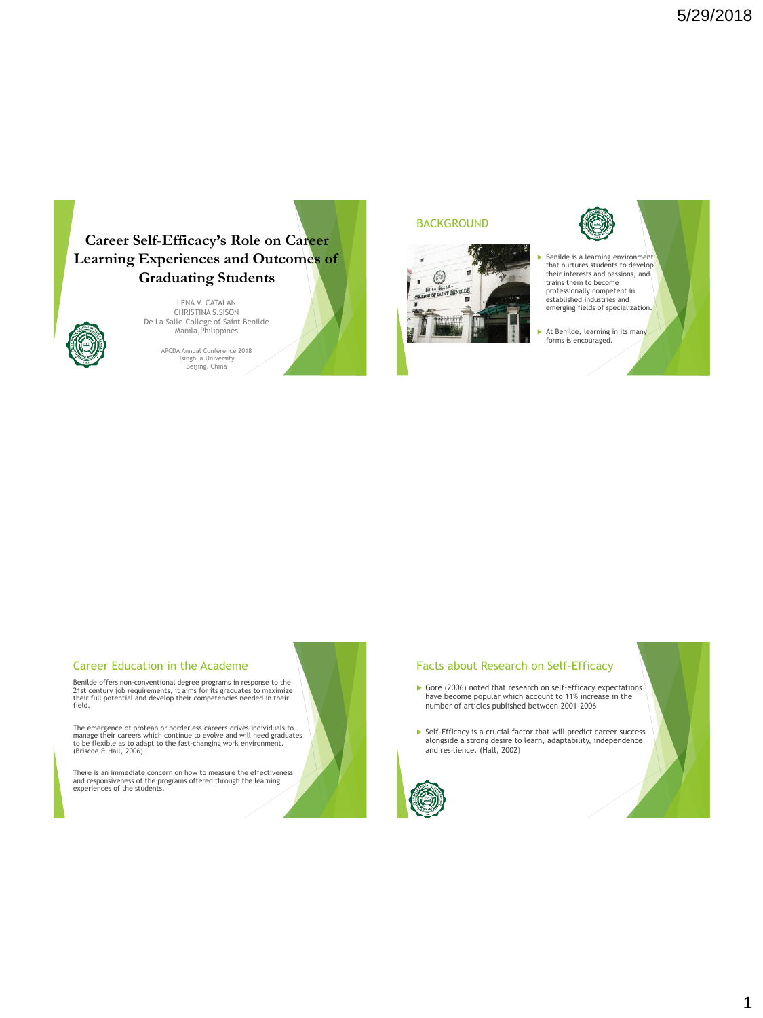

LENA V. CATALAN CHRISTINA S.SISON De La Salle-College of Saint Benilde Manila,Philippines

> APCDA Annual Conference 2018 Tsinghua University Beijing, China

### **BACKGROUND**





### Career Education in the Academe

Benilde offers non-conventional degree programs in response to the 21st century job requirements, it aims for its graduates to maximize their full potential and develop their competencies needed in their field.

The emergence of protean or borderless careers drives individuals to manage their careers which continue to evolve and will need graduates to be flexible as to adapt to the fast-changing work environment. (Briscoe & Hall, 2006)

There is an immediate concern on how to measure the effectiveness and responsiveness of the programs offered through the learning experiences of the students.

## Facts about Research on Self-Efficacy

- Gore (2006) noted that research on self-efficacy expectations have become popular which account to 11% increase in the number of articles published between 2001-2006
- Self-Efficacy is a crucial factor that will predict career success alongside a strong desire to learn, adaptability, independence and resilience. (Hall, 2002)



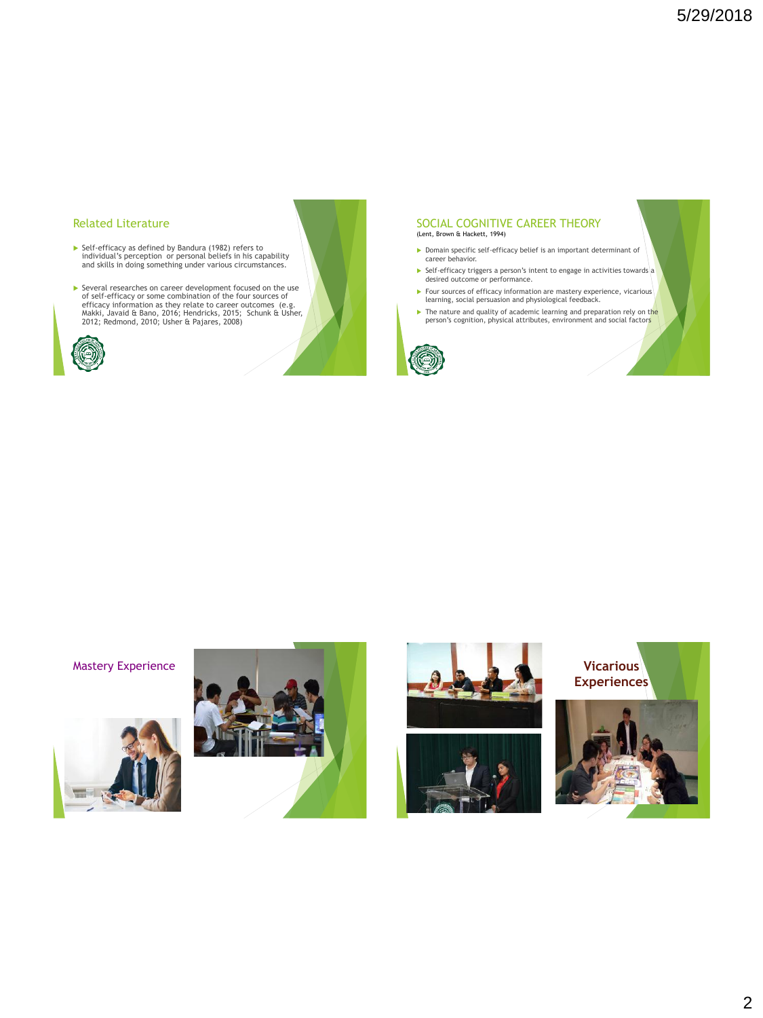### Related Literature

- Self-efficacy as defined by Bandura (1982) refers to individual's perception or personal beliefs in his capability and skills in doing something under various circumstances.
- Several researches on career development focused on the use<br>of self-efficacy or some combination of the four sources of<br>efficacy information as they relate to career outcomes (e.g.<br>Makki, Javaid & Bano, 2016; Hendricks, 20



### SOCIAL COGNITIVE CAREER THEORY (Lent, Brown & Hackett, 1994)

- Domain specific self-efficacy belief is an important determinant of career behavior.
- Self-efficacy triggers a person's intent to engage in activities towards a desired outcome or performance.
- Four sources of efficacy information are mastery experience, vicarious learning, social persuasion and physiological feedback.
- The nature and quality of academic learning and preparation rely on the person's cognition, physical attributes, environment and social factors









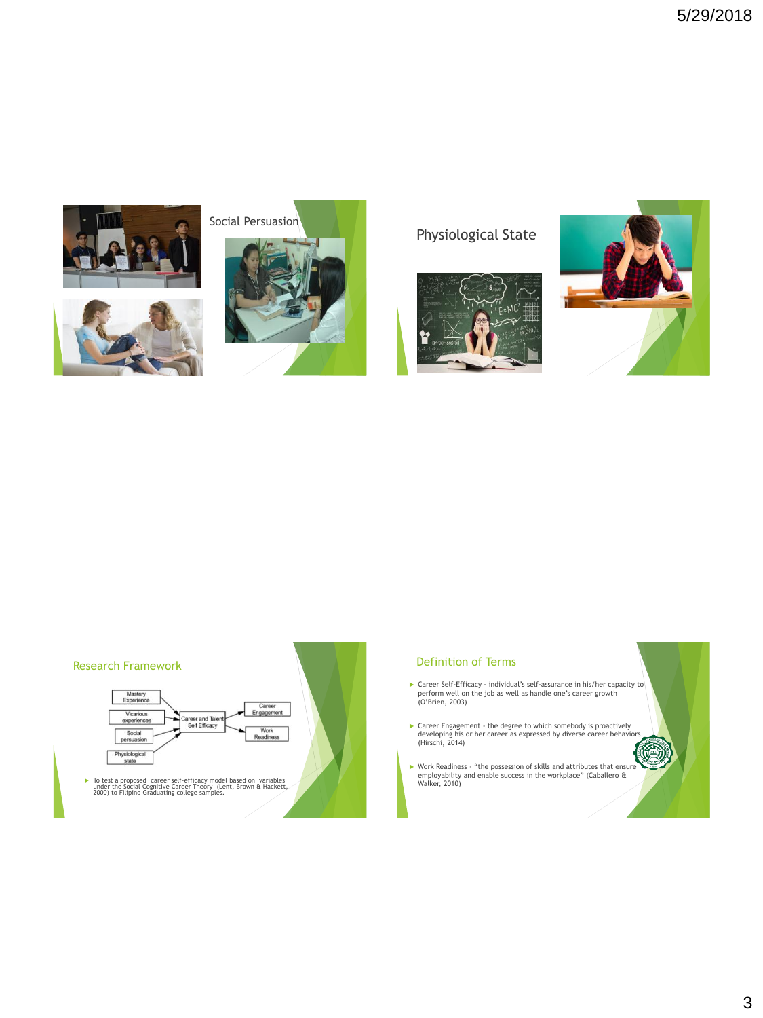





Physiological State







### Definition of Terms

- Gareer Self-Efficacy individual's self-assurance in his/her capacity to perform well on the job as well as handle one's career growth (O'Brien, 2003)
- Career Engagement the degree to which somebody is proactively developing his or her career as expressed by diverse career behaviors (Hirschi, 2014)
- Work Readiness "the possession of skills and attributes that ensure employability and enable success in the workplace" (Caballero & Walker, 2010)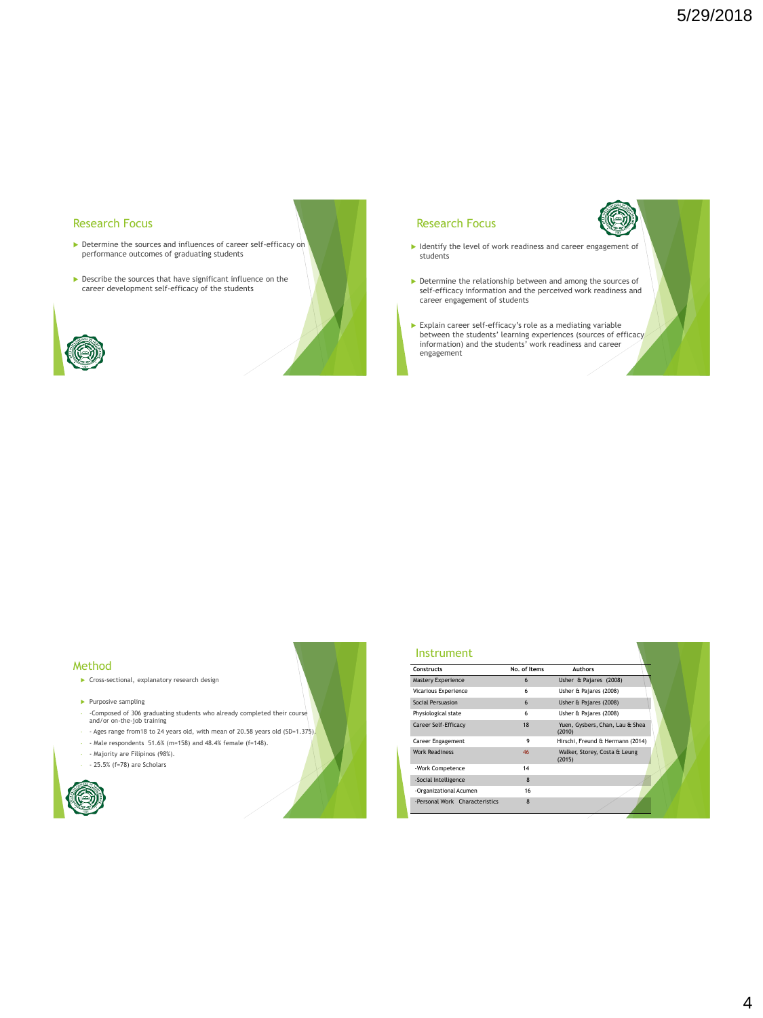### Research Focus

- Determine the sources and influences of career self-efficacy on performance outcomes of graduating students
- Describe the sources that have significant influence on the career development self-efficacy of the students



### Research Focus

- $\blacktriangleright$  Identify the level of work readiness and career engagement of students
- Determine the relationship between and among the sources of self-efficacy information and the perceived work readiness and career engagement of students
- Explain career self-efficacy's role as a mediating variable between the students' learning experiences (sources of efficacy information) and the students' work readiness and career engagement

### Method

- **Cross-sectional, explanatory research design**
- $\blacktriangleright$  Purposive sampling
- -Composed of 306 graduating students who already completed their course and/or on-the-job training
- Ages range from 18 to 24 years old, with mean of 20.58 years old (SD=1.375).
- $-$  Male respondents 51.6% (m=158) and 48.4% female (f=148).
- Majority are Filipinos (98%).
- - 25.5% (f=78) are Scholars



| Constructs                     | No. of Items    | <b>Authors</b>                            |
|--------------------------------|-----------------|-------------------------------------------|
| Mastery Experience             | 6               | Usher & Pajares (2008)                    |
| Vicarious Experience           | 6               | Usher & Pajares (2008)                    |
| Social Persuasion              | $6\overline{6}$ | Usher & Pajares (2008)                    |
| Physiological state            | 6               | Usher & Pajares (2008)                    |
| Career Self-Efficacy           | 18              | Yuen, Gysbers, Chan, Lau & Shea<br>(2010) |
| Career Engagement              | 9               | Hirschi, Freund & Hermann (2014)          |
| <b>Work Readiness</b>          | 46              | Walker, Storey, Costa & Leung<br>(2015)   |
| -Work Competence               | 14              |                                           |
| -Social Intelligence           | $\mathbf{8}$    |                                           |
| -Organizational Acumen         | 16              |                                           |
| -Personal Work Characteristics | $\mathbf{8}$    |                                           |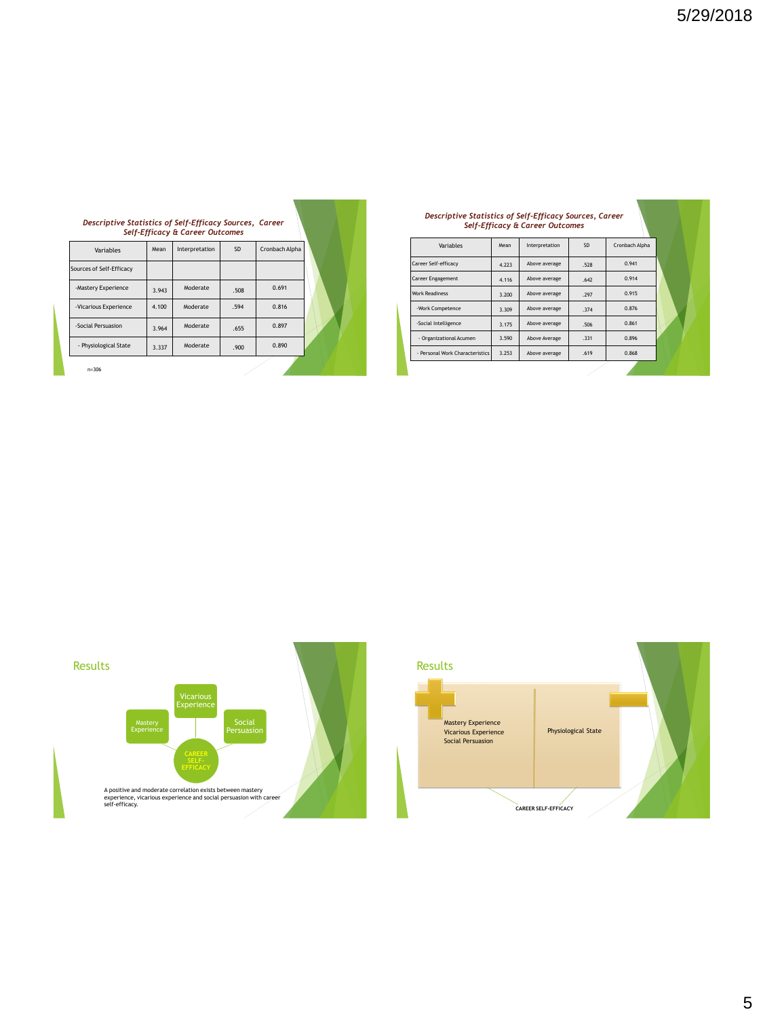| Descriptive Statistics of Self-Efficacy Sources, Career |       | <b>Self-Efficacy &amp; Career Outcomes</b> |           |                |  |
|---------------------------------------------------------|-------|--------------------------------------------|-----------|----------------|--|
| Variables                                               | Mean  | Interpretation                             | <b>SD</b> | Cronbach Alpha |  |
| Sources of Self-Efficacy                                |       |                                            |           |                |  |
| -Mastery Experience                                     | 3.943 | Moderate                                   | .508      | 0.691          |  |
| -Vicarious Experience                                   | 4.100 | Moderate                                   | .594      | 0.816          |  |
| -Social Persuasion                                      | 3.964 | Moderate                                   | .655      | 0.897          |  |
| - Physiological State                                   | 3.337 | Moderate                                   | .900      | 0.890          |  |
| $n - 306$                                               |       |                                            |           |                |  |

 $\mathbf{V} = \mathbf{V} \cdot \mathbf{V}$ 

## *Descriptive Statistics of Self-Efficacy Sources, Career Self-Efficacy & Career Outcomes*

| Variables                       | Mean  | Interpretation | <b>SD</b> | Cronbach Alpha |  |
|---------------------------------|-------|----------------|-----------|----------------|--|
| Career Self-efficacv            | 4.223 | Above average  | .528      | 0.941          |  |
| <b>Career Engagement</b>        | 4.116 | Above average  | .642      | 0.914          |  |
| <b>Work Readiness</b>           | 3.200 | Above average  | .297      | 0.915          |  |
| -Work Competence                | 3.309 | Above average  | .374      | 0.876          |  |
| -Social Intelligence            | 3.175 | Above average  | .506      | 0.861          |  |
| - Organizational Acumen         | 3.590 | Above Average  | .331      | 0.896          |  |
| - Personal Work Characteristics | 3.253 | Above average  | .619      | 0.868          |  |
|                                 |       |                |           |                |  |



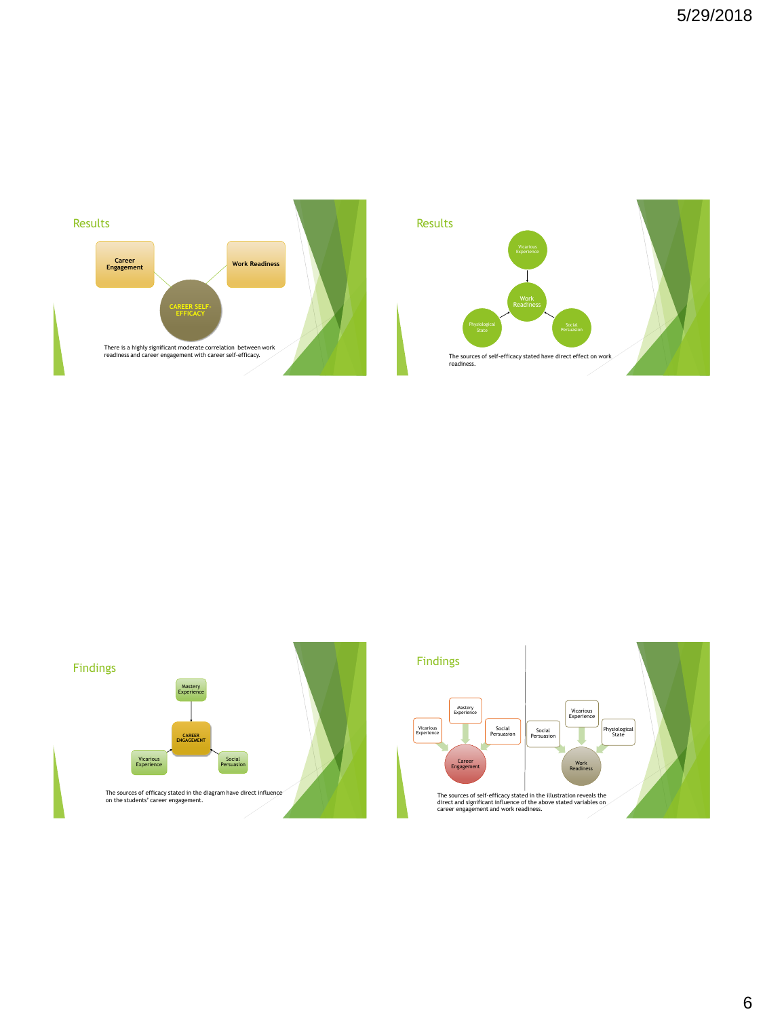

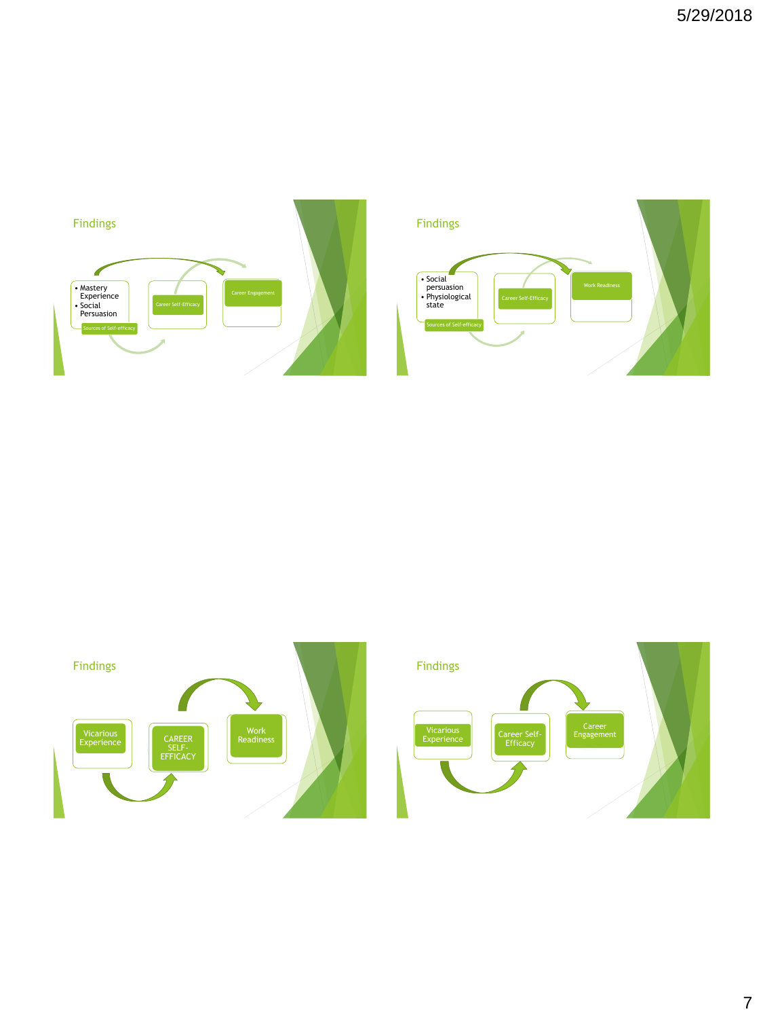





7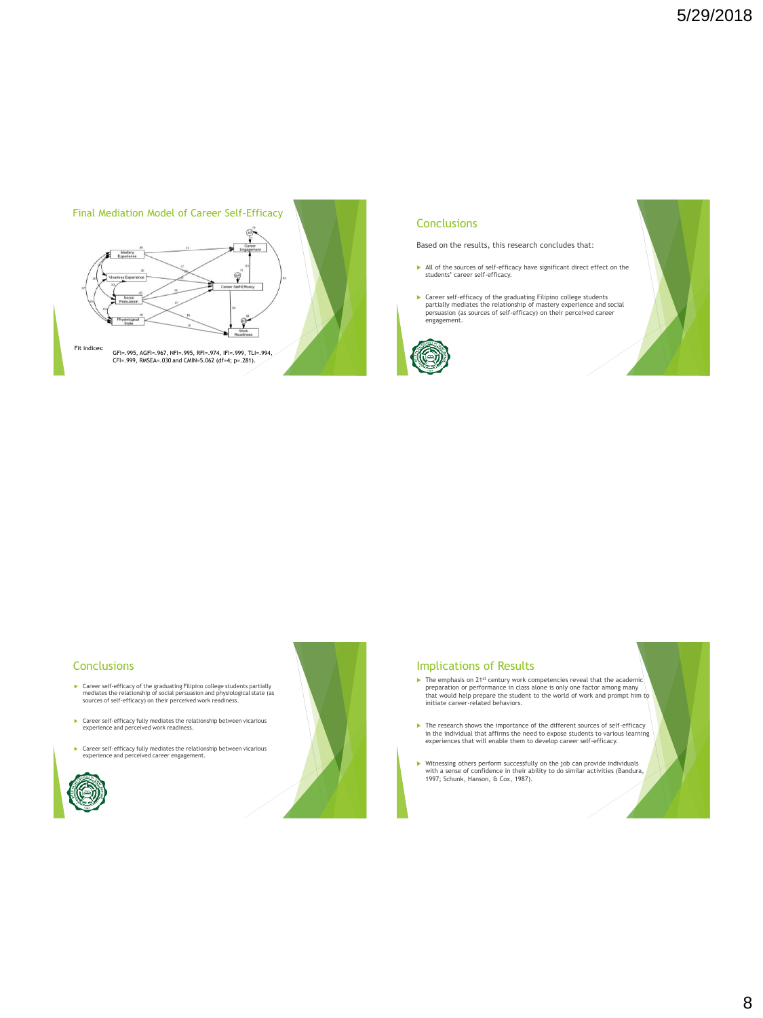

### **Conclusions**

Based on the results, this research concludes that:

- All of the sources of self-efficacy have significant direct effect on the students' career self-efficacy.
- Career self-efficacy of the graduating Filipino college students partially mediates the relationship of mastery experience and social persuasion (as sources of self-efficacy) on their perceived career engagement.



### **Conclusions**

- Career self-efficacy of the graduating Filipino college students partially mediates the relationship of social persuasion and physiological state (as sources of self-efficacy) on their perceived work readiness.
- Career self-efficacy fully mediates the relationship between vicarious experience and perceived work readiness.
- Career self-efficacy fully mediates the relationship between vicarious experience and perceived career engagement.





### Implications of Results

- $\blacktriangleright$  The emphasis on 21<sup>st</sup> century work competencies reveal that the academic preparation or performance in class alone is only one factor among many<br>that would help prepare the student to the world of work and prompt him to<br>initiate career-related behaviors.
- The research shows the importance of the different sources of self-efficacy in the individual that affirms the need to expose students to various learning experiences that will enable them to develop career self-efficacy.
- Witnessing others perform successfully on the job can provide individuals with a sense of confidence in their ability to do similar activities (Bandura, 1997; Schunk, Hanson, & Cox, 1987).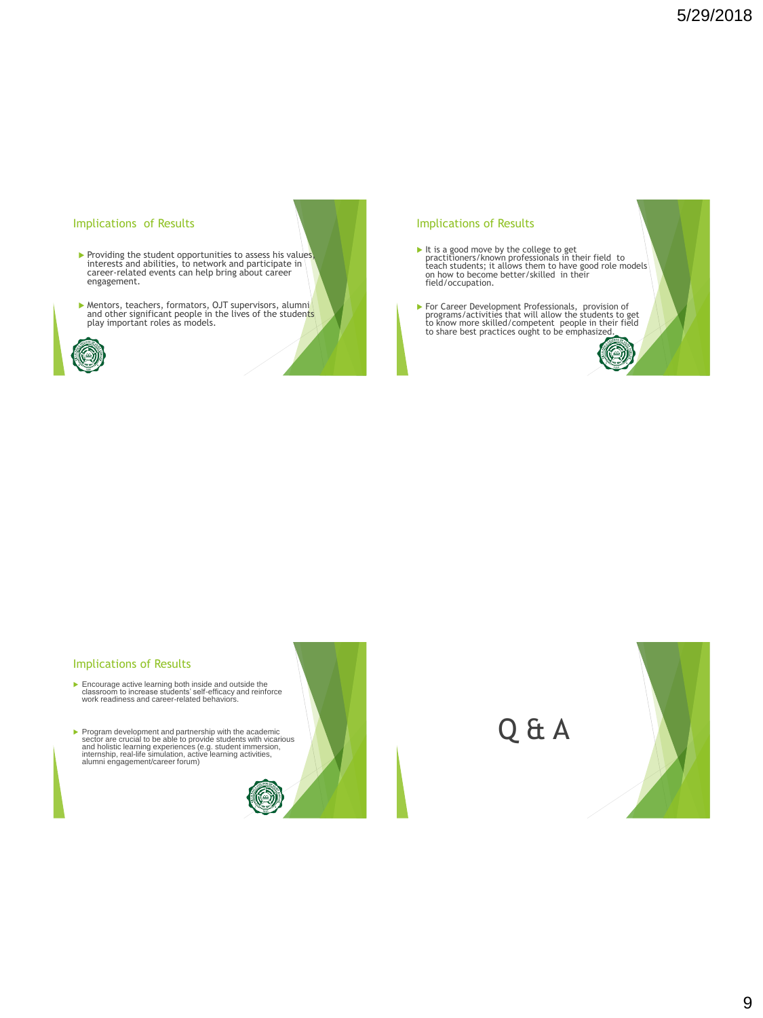### Implications of Results

- Providing the student opportunities to assess his values, interests and abilities, to network and participate in career-related events can help bring about career engagement.
- Mentors, teachers, formators, OJT supervisors, alumni and other significant people in the lives of the students play important roles as models.



### Implications of Results

- It is a good move by the college to get<br>practitioners/known professionals in their field to<br>teach students; it allows them to have good role models<br>on how to become better/skilled in their field/occupation.
- For Career Development Professionals, provision of programs/activities that will allow the students to get to know more skilled/competent people in their field to share best practices ought to be emphasized.

a

### Implications of Results

- Encourage active learning both inside and outside the classroom to increase students' self-efficacy and reinforce work readiness and career-related behaviors.
- > Program development and partnership with the academic<br>sector are crucial to be able to provide students with vicarious<br>and holistic learning experiences (e.g. student immersion,<br>internship, real-life simulation, active l



Q & A